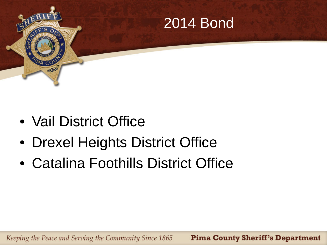

- Vail District Office
- Drexel Heights District Office
- Catalina Foothills District Office

Keeping the Peace and Serving the Community Since 1865 **Pima County Sheriff's Department**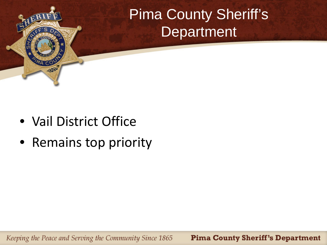

• Vail District Office

 $O(1)$ 

• Remains top priority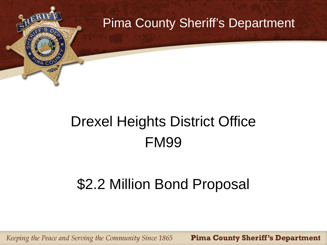

# Drexel Heights District Office FM99

### \$2.2 Million Bond Proposal

**Pima County Sheriff's Department** Keeping the Peace and Serving the Community Since 1865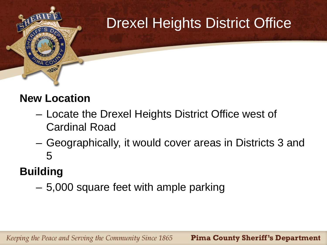

#### **New Location**

- Locate the Drexel Heights District Office west of Cardinal Road
- Geographically, it would cover areas in Districts 3 and 5

#### **Building**

– 5,000 square feet with ample parking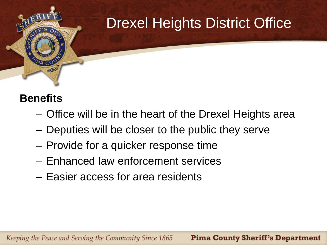

#### **Benefits**

- Office will be in the heart of the Drexel Heights area
- Deputies will be closer to the public they serve
- Provide for a quicker response time
- Enhanced law enforcement services
- Easier access for area residents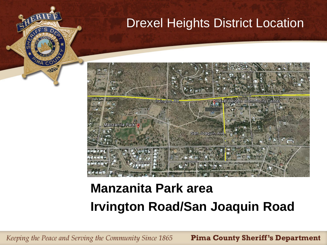

### **Manzanita Park area Irvington Road/San Joaquin Road**

Keeping the Peace and Serving the Community Since 1865

 $O(1)$ 

**Pima County Sheriff's Department**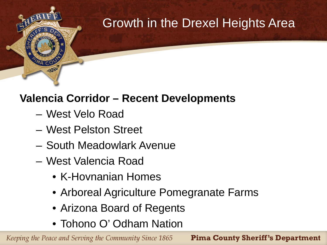

#### **Valencia Corridor – Recent Developments**

- West Velo Road
- West Pelston Street
- South Meadowlark Avenue
- West Valencia Road
	- K-Hovnanian Homes
	- Arboreal Agriculture Pomegranate Farms
	- Arizona Board of Regents
	- Tohono O' Odham Nation

Keeping the Peace and Serving the Community Since 1865

**Pima County Sheriff's Department**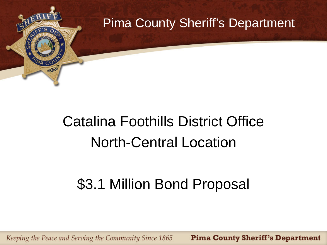

# Catalina Foothills District Office North-Central Location

### \$3.1 Million Bond Proposal

Keeping the Peace and Serving the Community Since 1865 **Pima County Sheriff's Department**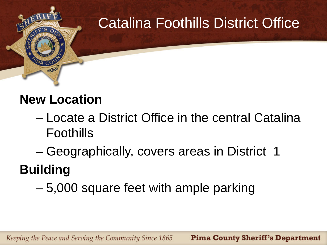

### **New Location**

- Locate a District Office in the central Catalina Foothills
- Geographically, covers areas in District 1

# **Building**

– 5,000 square feet with ample parking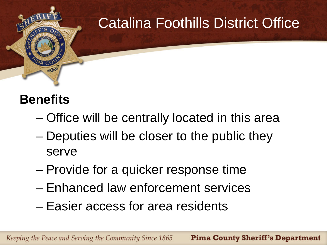

#### **Benefits**

- Office will be centrally located in this area
- Deputies will be closer to the public they serve
- Provide for a quicker response time
- Enhanced law enforcement services
- Easier access for area residents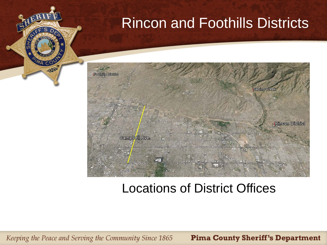## Rincon and Foothills Districts



#### Locations of District Offices

Keeping the Peace and Serving the Community Since 1865

 $O(1)$ 

**Pima County Sheriff's Department**